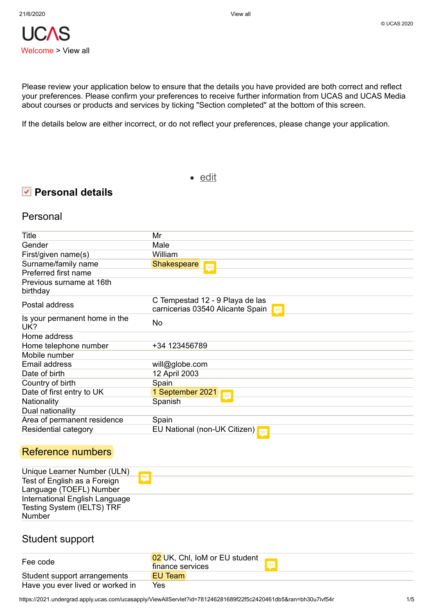Please review your application below to ensure that the details you have provided are both correct and reflect your preferences. Please confirm your preferences to receive further information from UCAS and UCAS Media about courses or products and services by ticking "Section completed" at the bottom of this screen.

If the details below are either incorrect, or do not reflect your preferences, please change your application.

• [edit](https://2021.undergrad.apply.ucas.com/ucasapply/PersonalDetailsServlet?functionname=personaldetails&from=fromViewAll&id=781246281689f22f5c2420461db5&ran=1q7ewwh2rdvka)

# **Personal details**

## Personal

| Title                                | Mr                                                                         |
|--------------------------------------|----------------------------------------------------------------------------|
| Gender                               | Male                                                                       |
| First/given name(s)                  | William                                                                    |
| Surname/family name                  | <b>Shakespeare</b><br>E                                                    |
| Preferred first name                 |                                                                            |
| Previous surname at 16th             |                                                                            |
| birthday                             |                                                                            |
| Postal address                       | C Tempestad 12 - 9 Playa de las<br>carnicerias 03540 Alicante Spain<br>$=$ |
| Is your permanent home in the<br>UK? | No                                                                         |
| Home address                         |                                                                            |
| Home telephone number                | +34 123456789                                                              |
| Mobile number                        |                                                                            |
| Email address                        | will@globe.com                                                             |
| Date of birth                        | 12 April 2003                                                              |
| Country of birth                     | Spain                                                                      |
| Date of first entry to UK            | 1 September 2021                                                           |
| Nationality                          | Spanish                                                                    |
| Dual nationality                     |                                                                            |
| Area of permanent residence          | Spain                                                                      |
| Residential category                 | EU National (non-UK Citizen)<br>$=$                                        |
|                                      |                                                                            |

# Reference numbers

| Unique Learner Number (ULN)    |   |
|--------------------------------|---|
| Test of English as a Foreign   | F |
| Language (TOEFL) Number        |   |
| International English Language |   |
| Testing System (IELTS) TRF     |   |
| <b>Number</b>                  |   |

## Student support

| Fee code                         | 02 UK, Chl, IoM or EU student<br>finance services |
|----------------------------------|---------------------------------------------------|
| Student support arrangements     | EU Team                                           |
| Have you ever lived or worked in | Yes                                               |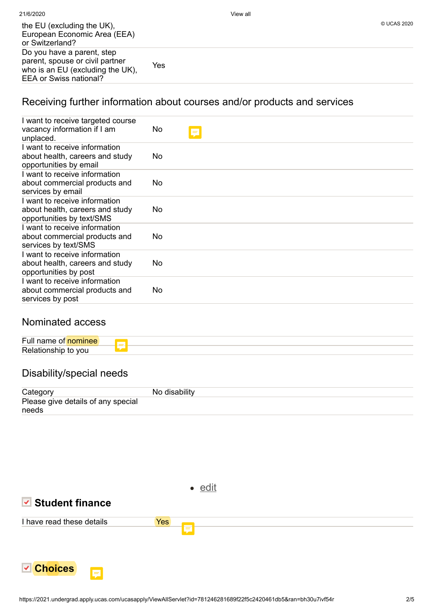| the EU (excluding the UK),<br>European Economic Area (EEA)<br>or Switzerland?                                               |     | © UCAS 2020 |
|-----------------------------------------------------------------------------------------------------------------------------|-----|-------------|
| Do you have a parent, step<br>parent, spouse or civil partner<br>who is an EU (excluding the UK),<br>EEA or Swiss national? | Yes |             |

# Receiving further information about courses and/or products and services

| I want to receive targeted course<br>vacancy information if I am<br>unplaced.                 | No  | Ę |
|-----------------------------------------------------------------------------------------------|-----|---|
| I want to receive information<br>about health, careers and study<br>opportunities by email    | No. |   |
| I want to receive information<br>about commercial products and<br>services by email           | No  |   |
| I want to receive information<br>about health, careers and study<br>opportunities by text/SMS | No  |   |
| I want to receive information<br>about commercial products and<br>services by text/SMS        | No  |   |
| I want to receive information<br>about health, careers and study<br>opportunities by post     | No  |   |
| I want to receive information<br>about commercial products and<br>services by post            | No  |   |

# Nominated access

| $ -$<br>ыш |   |  |
|------------|---|--|
| اہ R       | ÷ |  |

# Disability/special needs

| Category                           | No disability |
|------------------------------------|---------------|
| Please give details of any special |               |
| needs                              |               |



# **Student finance**



• [edit](https://2021.undergrad.apply.ucas.com/ucasapply/StudentFinanceServlet?functionname=studentfinance&id=781246281689f22f5c2420461db5&ran=1kg4ma037rxcc)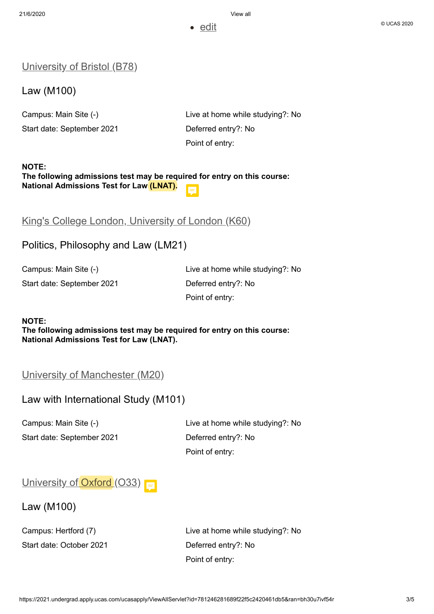• [edit](https://2021.undergrad.apply.ucas.com/ucasapply/ChoicesServlet?functionname=choicesummary&id=781246281689f22f5c2420461db5&ran=ldor44c20hk3)

### **[University](https://2021.undergrad.apply.ucas.com/ucasapply/ChoicesServlet?functionname=choicedetails&mode=edit&choiceId=3&id=781246281689f22f5c2420461db5&ran=1kcgvh3r1juo5) of Bristol (B78)**

Law (M100)

Start date: September 2021 Deferred entry?: No

Campus: Main Site (-) Live at home while studying?: No Point of entry:

### **NOTE: The following admissions test may be required for entry on this course: National Admissions Test for Law (LNAT).**

# King's College London, [University](https://2021.undergrad.apply.ucas.com/ucasapply/ChoicesServlet?functionname=choicedetails&mode=edit&choiceId=4&id=781246281689f22f5c2420461db5&ran=1t1hw2av9hjvk) of London (K60)

## Politics, Philosophy and Law (LM21)

Start date: September 2021 Deferred entry?: No

Campus: Main Site (-) Live at home while studying?: No Point of entry:

#### **NOTE:**

**The following admissions test may be required for entry on this course: National Admissions Test for Law (LNAT).**

## University of [Manchester](https://2021.undergrad.apply.ucas.com/ucasapply/ChoicesServlet?functionname=choicedetails&mode=edit&choiceId=2&id=781246281689f22f5c2420461db5&ran=2q5o5y4r2txi) (M20)

## Law with International Study (M101)

Start date: September 2021 Deferred entry?: No

Campus: Main Site (-) Live at home while studying?: No Point of entry:

# [University](https://2021.undergrad.apply.ucas.com/ucasapply/ChoicesServlet?functionname=choicedetails&mode=edit&choiceId=1&id=781246281689f22f5c2420461db5&ran=1srka33yu5zoc) of  $Oxford (O33) =$

### Law (M100)

Start date: October 2021 Deferred entry?: No

Campus: Hertford (7) Live at home while studying?: No Point of entry: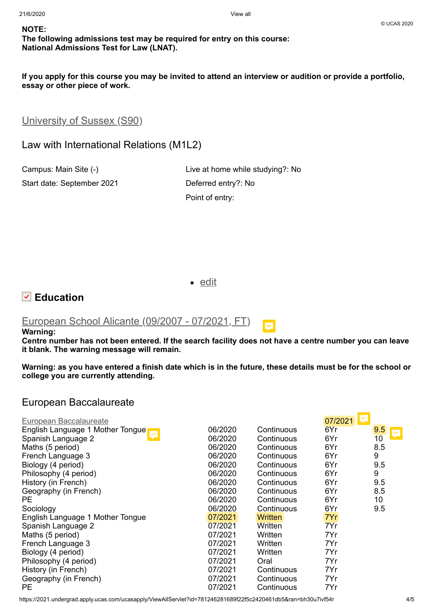### **NOTE:**

## **The following admissions test may be required for entry on this course: National Admissions Test for Law (LNAT).**

If you apply for this course you may be invited to attend an interview or audition or provide a portfolio, **essay or other piece of work.**

[University](https://2021.undergrad.apply.ucas.com/ucasapply/ChoicesServlet?functionname=choicedetails&mode=edit&choiceId=5&id=781246281689f22f5c2420461db5&ran=1mqly65q55n8q) of Sussex (S90)

Law with International Relations (M1L2)

Start date: September 2021 Deferred entry?: No

Campus: Main Site (-) Live at home while studying?: No Point of entry:

• [edit](https://2021.undergrad.apply.ucas.com/ucasapply/EducationServlet?functionname=educationsummary&id=781246281689f22f5c2420461db5&ran=1nsr0u0tvvnyu)



## [European](https://2021.undergrad.apply.ucas.com/ucasapply/EducationServlet?functionname=educationcentre&mode=edit&edeId=1&id=781246281689f22f5c2420461db5&ran=wt7xgffmej5v) School Alicante (09/2007 - 07/2021, FT)

#### **Warning:**

Centre number has not been entered. If the search facility does not have a centre number you can leave **it blank. The warning message will remain.**

Warning: as you have entered a finish date which is in the future, these details must be for the school or **college you are currently attending.**

## European Baccalaureate

| European Baccalaureate           |         |                | 07/2021 |          |
|----------------------------------|---------|----------------|---------|----------|
| English Language 1 Mother Tongue | 06/2020 | Continuous     | 6Yr     | 9.5<br>Ş |
| Spanish Language 2               | 06/2020 | Continuous     | 6Yr     | 10       |
| Maths (5 period)                 | 06/2020 | Continuous     | 6Yr     | 8.5      |
| French Language 3                | 06/2020 | Continuous     | 6Yr     | 9        |
| Biology (4 period)               | 06/2020 | Continuous     | 6Yr     | 9.5      |
| Philosophy (4 period)            | 06/2020 | Continuous     | 6Yr     | 9        |
| History (in French)              | 06/2020 | Continuous     | 6Yr     | 9.5      |
| Geography (in French)            | 06/2020 | Continuous     | 6Yr     | 8.5      |
| PE.                              | 06/2020 | Continuous     | 6Yr     | 10       |
| Sociology                        | 06/2020 | Continuous     | 6Yr     | 9.5      |
| English Language 1 Mother Tongue | 07/2021 | <b>Written</b> | 7Yr     |          |
| Spanish Language 2               | 07/2021 | Written        | 7Yr     |          |
| Maths (5 period)                 | 07/2021 | Written        | 7Yr     |          |
| French Language 3                | 07/2021 | Written        | 7Yr     |          |
| Biology (4 period)               | 07/2021 | Written        | 7Yr     |          |
| Philosophy (4 period)            | 07/2021 | Oral           | 7Yr     |          |
| History (in French)              | 07/2021 | Continuous     | 7Yr     |          |
| Geography (in French)            | 07/2021 | Continuous     | 7Yr     |          |
| <b>PE</b>                        | 07/2021 | Continuous     | 7Yr     |          |